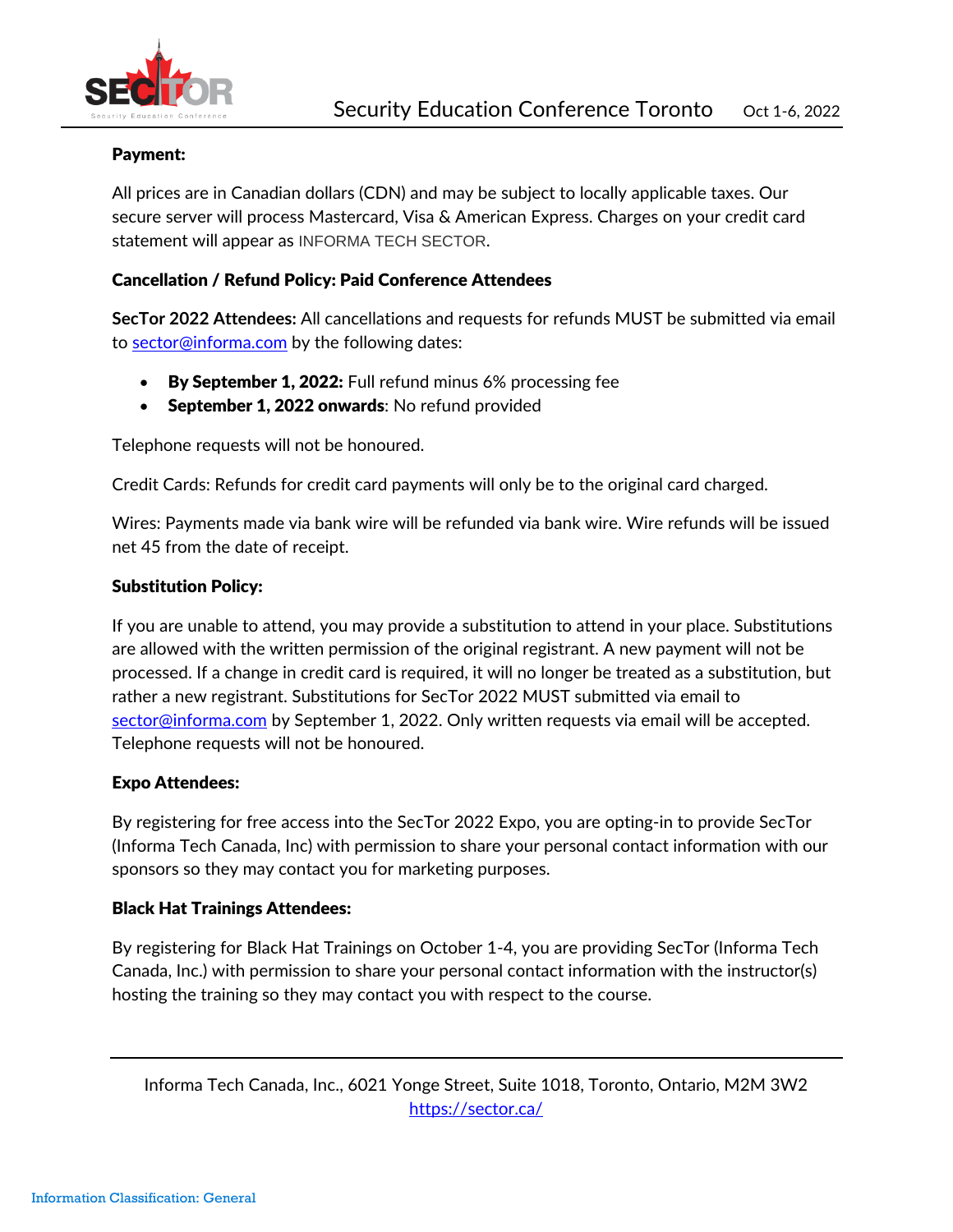

# Payment:

All prices are in Canadian dollars (CDN) and may be subject to locally applicable taxes. Our secure server will process Mastercard, Visa & American Express. Charges on your credit card statement will appear as INFORMA TECH SECTOR.

# Cancellation / Refund Policy: Paid Conference Attendees

**SecTor 2022 Attendees:** All cancellations and requests for refunds MUST be submitted via email to [sector@informa.com](mailto:sector@informa.com) by the following dates:

- By September 1, 2022: Full refund minus 6% processing fee
- September 1, 2022 onwards: No refund provided

Telephone requests will not be honoured.

Credit Cards: Refunds for credit card payments will only be to the original card charged.

Wires: Payments made via bank wire will be refunded via bank wire. Wire refunds will be issued net 45 from the date of receipt.

# Substitution Policy:

If you are unable to attend, you may provide a substitution to attend in your place. Substitutions are allowed with the written permission of the original registrant. A new payment will not be processed. If a change in credit card is required, it will no longer be treated as a substitution, but rather a new registrant. Substitutions for SecTor 2022 MUST submitted via email to [sector@informa.com](mailto:sector@informa.com) by September 1, 2022. Only written requests via email will be accepted. Telephone requests will not be honoured.

## Expo Attendees:

By registering for free access into the SecTor 2022 Expo, you are opting-in to provide SecTor (Informa Tech Canada, Inc) with permission to share your personal contact information with our sponsors so they may contact you for marketing purposes.

## Black Hat Trainings Attendees:

By registering for Black Hat Trainings on October 1-4, you are providing SecTor (Informa Tech Canada, Inc.) with permission to share your personal contact information with the instructor(s) hosting the training so they may contact you with respect to the course.

Informa Tech Canada, Inc., 6021 Yonge Street, Suite 1018, Toronto, Ontario, M2M 3W2 <https://sector.ca/>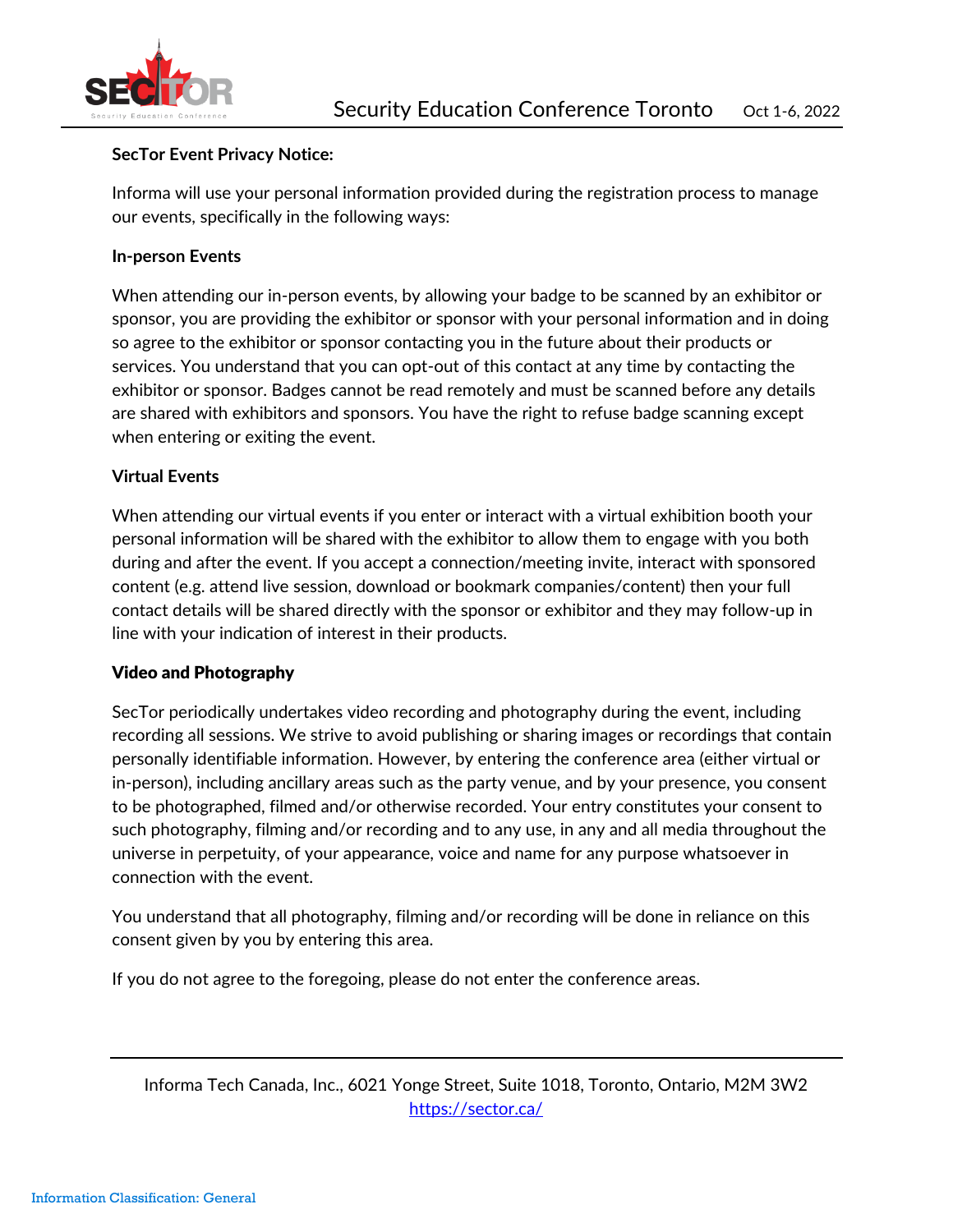

## **SecTor Event Privacy Notice:**

Informa will use your personal information provided during the registration process to manage our events, specifically in the following ways:

#### **In-person Events**

When attending our in-person events, by allowing your badge to be scanned by an exhibitor or sponsor, you are providing the exhibitor or sponsor with your personal information and in doing so agree to the exhibitor or sponsor contacting you in the future about their products or services. You understand that you can opt-out of this contact at any time by contacting the exhibitor or sponsor. Badges cannot be read remotely and must be scanned before any details are shared with exhibitors and sponsors. You have the right to refuse badge scanning except when entering or exiting the event.

## **Virtual Events**

When attending our virtual events if you enter or interact with a virtual exhibition booth your personal information will be shared with the exhibitor to allow them to engage with you both during and after the event. If you accept a connection/meeting invite, interact with sponsored content (e.g. attend live session, download or bookmark companies/content) then your full contact details will be shared directly with the sponsor or exhibitor and they may follow-up in line with your indication of interest in their products.

## Video and Photography

SecTor periodically undertakes video recording and photography during the event, including recording all sessions. We strive to avoid publishing or sharing images or recordings that contain personally identifiable information. However, by entering the conference area (either virtual or in-person), including ancillary areas such as the party venue, and by your presence, you consent to be photographed, filmed and/or otherwise recorded. Your entry constitutes your consent to such photography, filming and/or recording and to any use, in any and all media throughout the universe in perpetuity, of your appearance, voice and name for any purpose whatsoever in connection with the event.

You understand that all photography, filming and/or recording will be done in reliance on this consent given by you by entering this area.

If you do not agree to the foregoing, please do not enter the conference areas.

Informa Tech Canada, Inc., 6021 Yonge Street, Suite 1018, Toronto, Ontario, M2M 3W2 <https://sector.ca/>